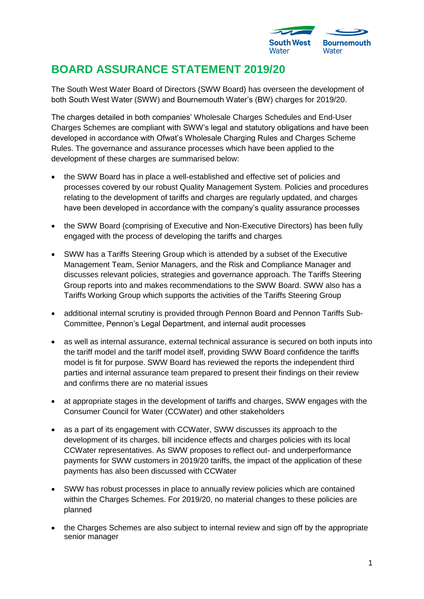

## **BOARD ASSURANCE STATEMENT 2019/20**

The South West Water Board of Directors (SWW Board) has overseen the development of both South West Water (SWW) and Bournemouth Water's (BW) charges for 2019/20.

The charges detailed in both companies' Wholesale Charges Schedules and End-User Charges Schemes are compliant with SWW's legal and statutory obligations and have been developed in accordance with Ofwat's Wholesale Charging Rules and Charges Scheme Rules. The governance and assurance processes which have been applied to the development of these charges are summarised below:

- the SWW Board has in place a well-established and effective set of policies and processes covered by our robust Quality Management System. Policies and procedures relating to the development of tariffs and charges are regularly updated, and charges have been developed in accordance with the company's quality assurance processes
- the SWW Board (comprising of Executive and Non-Executive Directors) has been fully engaged with the process of developing the tariffs and charges
- SWW has a Tariffs Steering Group which is attended by a subset of the Executive Management Team, Senior Managers, and the Risk and Compliance Manager and discusses relevant policies, strategies and governance approach. The Tariffs Steering Group reports into and makes recommendations to the SWW Board. SWW also has a Tariffs Working Group which supports the activities of the Tariffs Steering Group
- additional internal scrutiny is provided through Pennon Board and Pennon Tariffs Sub-Committee, Pennon's Legal Department, and internal audit processes
- as well as internal assurance, external technical assurance is secured on both inputs into the tariff model and the tariff model itself, providing SWW Board confidence the tariffs model is fit for purpose. SWW Board has reviewed the reports the independent third parties and internal assurance team prepared to present their findings on their review and confirms there are no material issues
- at appropriate stages in the development of tariffs and charges, SWW engages with the Consumer Council for Water (CCWater) and other stakeholders
- as a part of its engagement with CCWater, SWW discusses its approach to the development of its charges, bill incidence effects and charges policies with its local CCWater representatives. As SWW proposes to reflect out- and underperformance payments for SWW customers in 2019/20 tariffs, the impact of the application of these payments has also been discussed with CCWater
- SWW has robust processes in place to annually review policies which are contained within the Charges Schemes. For 2019/20, no material changes to these policies are planned
- the Charges Schemes are also subject to internal review and sign off by the appropriate senior manager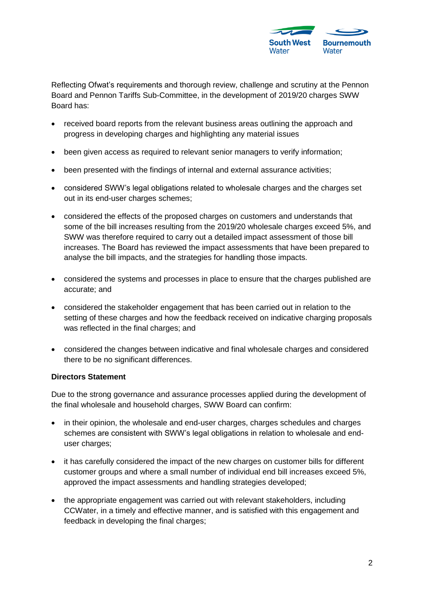

Reflecting Ofwat's requirements and thorough review, challenge and scrutiny at the Pennon Board and Pennon Tariffs Sub-Committee, in the development of 2019/20 charges SWW Board has:

- received board reports from the relevant business areas outlining the approach and progress in developing charges and highlighting any material issues
- been given access as required to relevant senior managers to verify information;
- been presented with the findings of internal and external assurance activities;
- considered SWW's legal obligations related to wholesale charges and the charges set out in its end-user charges schemes;
- considered the effects of the proposed charges on customers and understands that some of the bill increases resulting from the 2019/20 wholesale charges exceed 5%, and SWW was therefore required to carry out a detailed impact assessment of those bill increases. The Board has reviewed the impact assessments that have been prepared to analyse the bill impacts, and the strategies for handling those impacts.
- considered the systems and processes in place to ensure that the charges published are accurate; and
- considered the stakeholder engagement that has been carried out in relation to the setting of these charges and how the feedback received on indicative charging proposals was reflected in the final charges; and
- considered the changes between indicative and final wholesale charges and considered there to be no significant differences.

## **Directors Statement**

Due to the strong governance and assurance processes applied during the development of the final wholesale and household charges, SWW Board can confirm:

- in their opinion, the wholesale and end-user charges, charges schedules and charges schemes are consistent with SWW's legal obligations in relation to wholesale and enduser charges;
- it has carefully considered the impact of the new charges on customer bills for different customer groups and where a small number of individual end bill increases exceed 5%, approved the impact assessments and handling strategies developed;
- the appropriate engagement was carried out with relevant stakeholders, including CCWater, in a timely and effective manner, and is satisfied with this engagement and feedback in developing the final charges;